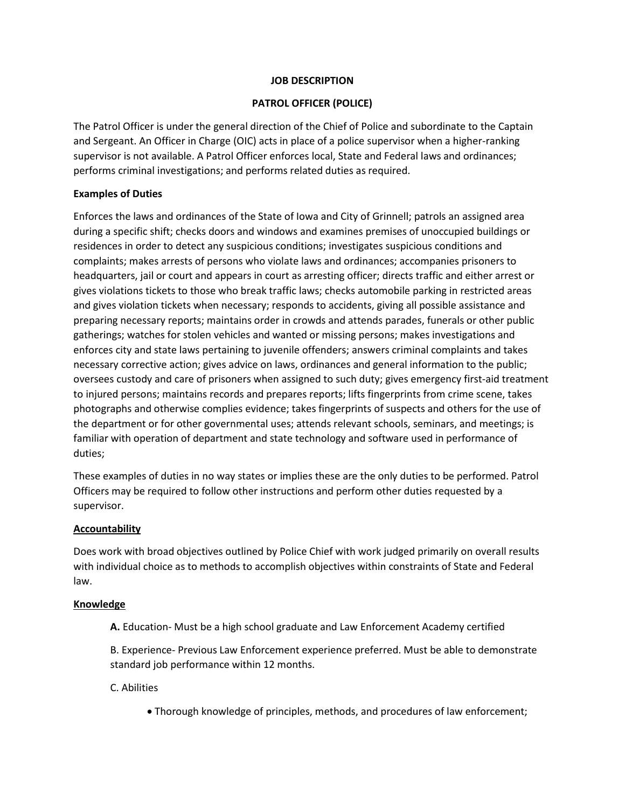### **JOB DESCRIPTION**

# **PATROL OFFICER (POLICE)**

The Patrol Officer is under the general direction of the Chief of Police and subordinate to the Captain and Sergeant. An Officer in Charge (OIC) acts in place of a police supervisor when a higher-ranking supervisor is not available. A Patrol Officer enforces local, State and Federal laws and ordinances; performs criminal investigations; and performs related duties as required.

# **Examples of Duties**

Enforces the laws and ordinances of the State of Iowa and City of Grinnell; patrols an assigned area during a specific shift; checks doors and windows and examines premises of unoccupied buildings or residences in order to detect any suspicious conditions; investigates suspicious conditions and complaints; makes arrests of persons who violate laws and ordinances; accompanies prisoners to headquarters, jail or court and appears in court as arresting officer; directs traffic and either arrest or gives violations tickets to those who break traffic laws; checks automobile parking in restricted areas and gives violation tickets when necessary; responds to accidents, giving all possible assistance and preparing necessary reports; maintains order in crowds and attends parades, funerals or other public gatherings; watches for stolen vehicles and wanted or missing persons; makes investigations and enforces city and state laws pertaining to juvenile offenders; answers criminal complaints and takes necessary corrective action; gives advice on laws, ordinances and general information to the public; oversees custody and care of prisoners when assigned to such duty; gives emergency first-aid treatment to injured persons; maintains records and prepares reports; lifts fingerprints from crime scene, takes photographs and otherwise complies evidence; takes fingerprints of suspects and others for the use of the department or for other governmental uses; attends relevant schools, seminars, and meetings; is familiar with operation of department and state technology and software used in performance of duties;

These examples of duties in no way states or implies these are the only duties to be performed. Patrol Officers may be required to follow other instructions and perform other duties requested by a supervisor.

# **Accountability**

Does work with broad objectives outlined by Police Chief with work judged primarily on overall results with individual choice as to methods to accomplish objectives within constraints of State and Federal law.

### **Knowledge**

**A.** Education- Must be a high school graduate and Law Enforcement Academy certified

B. Experience- Previous Law Enforcement experience preferred. Must be able to demonstrate standard job performance within 12 months.

C. Abilities

• Thorough knowledge of principles, methods, and procedures of law enforcement;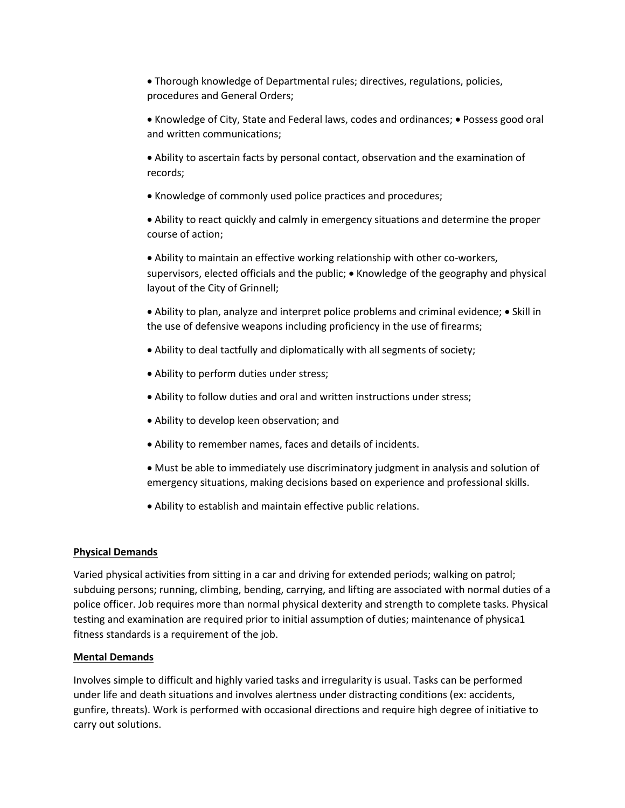• Thorough knowledge of Departmental rules; directives, regulations, policies, procedures and General Orders;

• Knowledge of City, State and Federal laws, codes and ordinances; • Possess good oral and written communications;

• Ability to ascertain facts by personal contact, observation and the examination of records;

• Knowledge of commonly used police practices and procedures;

• Ability to react quickly and calmly in emergency situations and determine the proper course of action;

• Ability to maintain an effective working relationship with other co-workers, supervisors, elected officials and the public; • Knowledge of the geography and physical layout of the City of Grinnell;

• Ability to plan, analyze and interpret police problems and criminal evidence; • Skill in the use of defensive weapons including proficiency in the use of firearms;

- Ability to deal tactfully and diplomatically with all segments of society;
- Ability to perform duties under stress;
- Ability to follow duties and oral and written instructions under stress;
- Ability to develop keen observation; and
- Ability to remember names, faces and details of incidents.
- Must be able to immediately use discriminatory judgment in analysis and solution of emergency situations, making decisions based on experience and professional skills.
- Ability to establish and maintain effective public relations.

### **Physical Demands**

Varied physical activities from sitting in a car and driving for extended periods; walking on patrol; subduing persons; running, climbing, bending, carrying, and lifting are associated with normal duties of a police officer. Job requires more than normal physical dexterity and strength to complete tasks. Physical testing and examination are required prior to initial assumption of duties; maintenance of physica1 fitness standards is a requirement of the job.

### **Mental Demands**

Involves simple to difficult and highly varied tasks and irregularity is usual. Tasks can be performed under life and death situations and involves alertness under distracting conditions (ex: accidents, gunfire, threats). Work is performed with occasional directions and require high degree of initiative to carry out solutions.